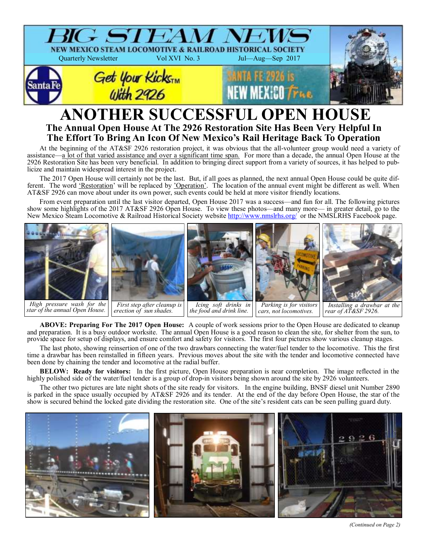

# **ANOTHER SUCCESSFUL OPEN HOUSE The Annual Open House At The 2926 Restoration Site Has Been Very Helpful In The Effort To Bring An Icon Of New Mexico's Rail Heritage Back To Operation**

At the beginning of the AT&SF 2926 restoration project, it was obvious that the all-volunteer group would need a variety of assistance—a lot of that varied assistance and over a significant time span. For more than a decade, the annual Open House at the 2926 Restoration Site has been very beneficial. In addition to bringing direct support from a variety of sources, it has helped to publicize and maintain widespread interest in the project.

The 2017 Open House will certainly not be the last. But, if all goes as planned, the next annual Open House could be quite different. The word 'Restoration' will be replaced by 'Operation'. The location of the annual event might be different as well. When AT&SF 2926 can move about under its own power, such events could be held at more visitor friendly locations.

From event preparation until the last visitor departed, Open House 2017 was a success—and fun for all. The following pictures show some highlights of the 2017 AT&SF 2926 Open House. To view these photos—and many more— in greater detail, go to the New Mexico Steam Locomotive & Railroad Historical Society website<http://www.nmslrhs.org/>or the NMSLRHS Facebook page.



*star of the annual Open House.*

*erection of sun shades.* 

*cars, not locomotives.*

*rear of AT&SF 2926.*

**ABOVE: Preparing For The 2017 Open House:** A couple of work sessions prior to the Open House are dedicated to cleanup and preparation. It is a busy outdoor worksite. The annual Open House is a good reason to clean the site, for shelter from the sun, to provide space for setup of displays, and ensure comfort and safety for visitors. The first four pictures show various cleanup stages.

The last photo, showing reinsertion of one of the two drawbars connecting the water/fuel tender to the locomotive. This the first time a drawbar has been reinstalled in fifteen years. Previous moves about the site with the tender and locomotive connected have been done by chaining the tender and locomotive at the radial buffer.

**BELOW: Ready for visitors:** In the first picture, Open House preparation is near completion. The image reflected in the highly polished side of the water/fuel tender is a group of drop-in visitors being shown around the site by 2926 volunteers.

The other two pictures are late night shots of the site ready for visitors. In the engine building, BNSF diesel unit Number 2890 is parked in the space usually occupied by AT&SF 2926 and its tender. At the end of the day before Open House, the star of the show is secured behind the locked gate dividing the restoration site. One of the site's resident cats can be seen pulling guard duty.



*(Continued on Page 2)*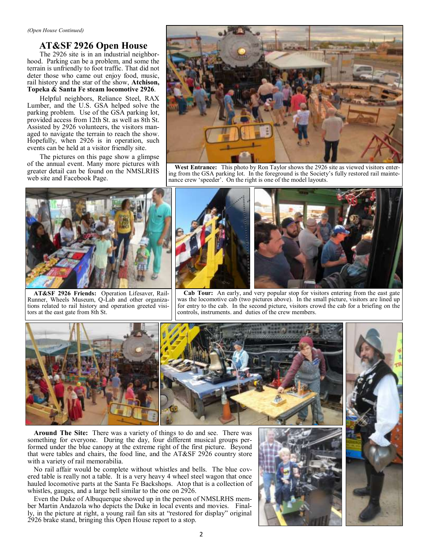## **AT&SF 2926 Open House**

The 2926 site is in an industrial neighborhood. Parking can be a problem, and some the terrain is unfriendly to foot traffic. That did not deter those who came out enjoy food, music, rail history and the star of the show, **Atchison, Topeka & Santa Fe steam locomotive 2926**.

Helpful neighbors, Reliance Steel, RAX Lumber, and the U.S. GSA helped solve the parking problem. Use of the GSA parking lot, provided access from 12th St. as well as 8th St. Assisted by 2926 volunteers, the visitors managed to navigate the terrain to reach the show. Hopefully, when 2926 is in operation, such events can be held at a visitor friendly site.

The pictures on this page show a glimpse of the annual event. Many more pictures with greater detail can be found on the NMSLRHS web site and Facebook Page.



**West Entrance:** This photo by Ron Taylor shows the 2926 site as viewed visitors entering from the GSA parking lot. In the foreground is the Society's fully restored rail maintenance crew 'speeder'. On the right is one of the model layouts.



**AT&SF 2926 Friends:** Operation Lifesaver, Rail-Runner, Wheels Museum, Q-Lab and other organizations related to rail history and operation greeted visitors at the east gate from 8th St.



**Cab Tour:** An early, and very popular stop for visitors entering from the east gate was the locomotive cab (two pictures above). In the small picture, visitors are lined up for entry to the cab. In the second picture, visitors crowd the cab for a briefing on the controls, instruments. and duties of the crew members.



**Around The Site:** There was a variety of things to do and see. There was something for everyone. During the day, four different musical groups performed under the blue canopy at the extreme right of the first picture. Beyond that were tables and chairs, the food line, and the AT&SF 2926 country store with a variety of rail memorabilia.

No rail affair would be complete without whistles and bells. The blue covered table is really not a table. It is a very heavy 4 wheel steel wagon that once hauled locomotive parts at the Santa Fe Backshops. Atop that is a collection of whistles, gauges, and a large bell similar to the one on 2926.

Even the Duke of Albuquerque showed up in the person of NMSLRHS member Martin Andazola who depicts the Duke in local events and movies. Finally, in the picture at right, a young rail fan sits at "restored for display" original 2926 brake stand, bringing this Open House report to a stop.



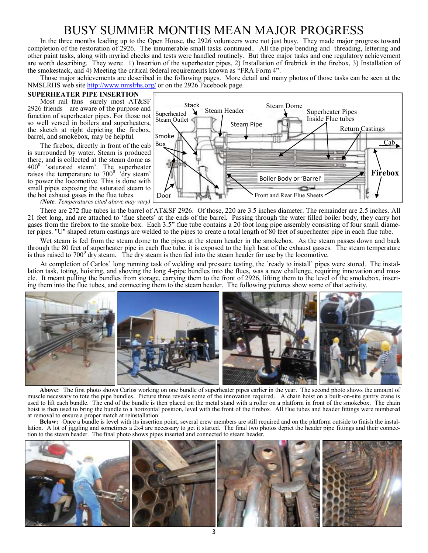# BUSY SUMMER MONTHS MEAN MAJOR PROGRESS

In the three months leading up to the Open House, the 2926 volunteers were not just busy. They made major progress toward completion of the restoration of 2926. The innumerable small tasks continued.. All the pipe bending and threading, lettering and other paint tasks, along with myriad checks and tests were handled routinely. But three major tasks and one regulatory achievement are worth describing. They were: 1) Insertion of the superheater pipes, 2) Installation of firebrick in the firebox, 3) Installation of the smokestack, and 4) Meeting the critical federal requirements known as "FRA Form 4".

Those major achievements are described in the following pages. More detail and many photos of those tasks can be seen at the NMSLRHS web site <http://www.nmslrhs.org/> or on the 2926 Facebook page.

### **SUPERHEATER PIPE INSERTION**

Most rail fans—surely most AT&SF 2926 friends—are aware of the purpose and function of superheater pipes. For those not so well versed in boilers and superheaters, the sketch at right depicting the firebox, barrel, and smokebox, may be helpful.

The firebox, directly in front of the cab is surrounded by water. Steam is produced there, and is collected at the steam dome as  $400^\circ$  'saturated steam'. The superheater raises the temperature to  $700^{\circ}$  'dry steam' to power the locomotive. This is done with small pipes exposing the saturated steam to the hot exhaust gases in the flue tubes*.* 

*(Note: Temperatures cited above may vary)*

There are 272 flue tubes in the barrel of AT&SF 2926. Of those, 220 are 3.5 inches diameter. The remainder are 2.5 inches. All 21 feet long, and are attached to 'flue sheets' at the ends of the barrel. Passing through the water filled boiler body, they carry hot gases from the firebox to the smoke box. Each 3.5" flue tube contains a 20 foot long pipe assembly consisting of four small diameter pipes. "U" shaped return castings are welded to the pipes to create a total length of 80 feet of superheater pipe in each flue tube.

Wet steam is fed from the steam dome to the pipes at the steam header in the smokebox. As the steam passes down and back through the 80 feet of superheater pipe in each flue tube, it is exposed to the high heat of the exhaust gasses. The steam temperature is thus raised to  $700^{\circ}$  dry steam. The dry steam is then fed into the steam header for use by the locomotive.

At completion of Carlos' long running task of welding and pressure testing, the 'ready to install' pipes were stored. The installation task, toting, hoisting, and shoving the long 4-pipe bundles into the flues, was a new challenge, requiring innovation and muscle. It meant pulling the bundles from storage, carrying them to the front of 2926, lifting them to the level of the smokebox, inserting them into the flue tubes, and connecting them to the steam header. The following pictures show some of that activity.



**Above:** The first photo shows Carlos working on one bundle of superheater pipes earlier in the year. The second photo shows the amount of muscle necessary to tote the pipe bundles. Picture three reveals some of the innovation required. A chain hoist on a built-on-site gantry crane is used to lift each bundle. The end of the bundle is then placed on the metal stand with a roller on a platform in front of the smokebox. The chain hoist is then used to bring the bundle to a horizontal position, level with the front of the firebox. All flue tubes and header fittings were numbered at removal to ensure a proper match at reinstallation.

**Below:** Once a bundle is level with its insertion point, several crew members are still required and on the platform outside to finish the installation. A lot of jiggling and sometimes a 2x4 are necessary to get it started. The final two photos depict the header pipe fittings and their connection to the steam header. The final photo shows pipes inserted and connected to steam header.



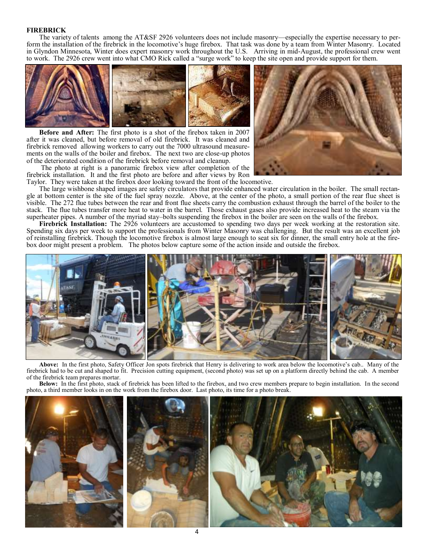#### **FIREBRICK**

The variety of talents among the AT&SF 2926 volunteers does not include masonry—especially the expertise necessary to perform the installation of the firebrick in the locomotive's huge firebox. That task was done by a team from Winter Masonry. Located in Glyndon Minnesota, Winter does expert masonry work throughout the U.S. Arriving in mid-August, the professional crew went to work. The 2926 crew went into what CMO Rick called a "surge work" to keep the site open and provide support for them.



**Before and After:** The first photo is a shot of the firebox taken in 2007 after it was cleaned, but before removal of old firebrick. It was cleaned and firebrick removed allowing workers to carry out the 7000 ultrasound measurements on the walls of the boiler and firebox. The next two are close-up photos of the deteriorated condition of the firebrick before removal and cleanup.

The photo at right is a panoramic firebox view after completion of the firebrick installation. It and the first photo are before and after views by Ron Taylor. They were taken at the firebox door looking toward the front of the locomotive.



The large wishbone shaped images are safety circulators that provide enhanced water circulation in the boiler. The small rectangle at bottom center is the site of the fuel spray nozzle. Above, at the center of the photo, a small portion of the rear flue sheet is visible. The 272 flue tubes between the rear and front flue sheets carry the combustion exhaust through the barrel of the boiler to the stack. The flue tubes transfer more heat to water in the barrel. Those exhaust gases also provide increased heat to the steam via the superheater pipes. A number of the myriad stay–bolts suspending the firebox in the boiler are seen on the walls of the firebox.

**Firebrick Installation:** The 2926 volunteers are accustomed to spending two days per week working at the restoration site. Spending six days per week to support the professionals from Winter Masonry was challenging. But the result was an excellent job of reinstalling firebrick. Though the locomotive firebox is almost large enough to seat six for dinner, the small entry hole at the firebox door might present a problem. The photos below capture some of the action inside and outside the firebox.



**Above:** In the first photo, Safety Officer Jon spots firebrick that Henry is delivering to work area below the locomotive's cab.. Many of the firebrick had to be cut and shaped to fit. Precision cutting equipment, (second photo) was set up on a platform directly behind the cab. A member of the firebrick team prepares mortar.

**Below:** In the first photo, stack of firebrick has been lifted to the firebox, and two crew members prepare to begin installation. In the second photo, a third member looks in on the work from the firebox door. Last photo, its time for a photo break.